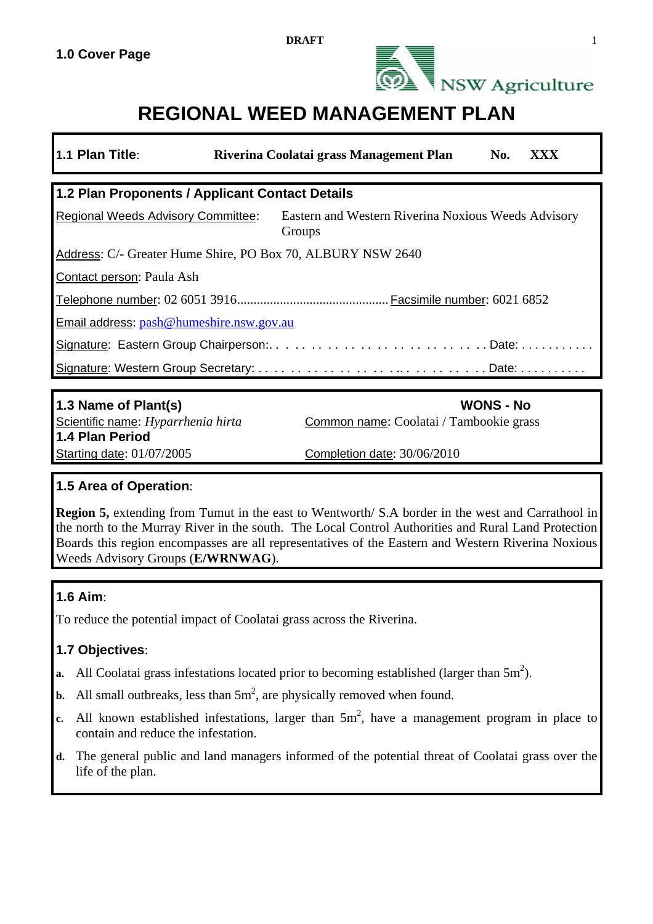

# **REGIONAL WEED MANAGEMENT PLAN**

| 1.1 Plan Title:                                                                                            | Riverina Coolatai grass Management Plan<br>No.<br>XXX       |  |  |  |  |  |  |  |
|------------------------------------------------------------------------------------------------------------|-------------------------------------------------------------|--|--|--|--|--|--|--|
| 1.2 Plan Proponents / Applicant Contact Details                                                            |                                                             |  |  |  |  |  |  |  |
| Eastern and Western Riverina Noxious Weeds Advisory<br><b>Regional Weeds Advisory Committee:</b><br>Groups |                                                             |  |  |  |  |  |  |  |
| Address: C/- Greater Hume Shire, PO Box 70, ALBURY NSW 2640                                                |                                                             |  |  |  |  |  |  |  |
| Contact person: Paula Ash                                                                                  |                                                             |  |  |  |  |  |  |  |
|                                                                                                            |                                                             |  |  |  |  |  |  |  |
| Email address: pash@humeshire.nsw.gov.au                                                                   |                                                             |  |  |  |  |  |  |  |
| Signature: Eastern Group Chairperson:Date:                                                                 |                                                             |  |  |  |  |  |  |  |
|                                                                                                            |                                                             |  |  |  |  |  |  |  |
|                                                                                                            |                                                             |  |  |  |  |  |  |  |
| 1.3 Name of Plant(s)<br>Scientific name: Hyparrhenia hirta<br>1.4 Plan Period                              | <b>WONS - No</b><br>Common name: Coolatai / Tambookie grass |  |  |  |  |  |  |  |

## **1.5 Area of Operation**:

**Region 5,** extending from Tumut in the east to Wentworth/ S.A border in the west and Carrathool in the north to the Murray River in the south. The Local Control Authorities and Rural Land Protection Boards this region encompasses are all representatives of the Eastern and Western Riverina Noxious Weeds Advisory Groups (**E/WRNWAG**).

## **1.6 Aim**:

To reduce the potential impact of Coolatai grass across the Riverina.

## **1.7 Objectives**:

- **a.** All Coolatai grass infestations located prior to becoming established (larger than  $5m<sup>2</sup>$ ).
- **b.** All small outbreaks, less than  $5m^2$ , are physically removed when found.

Starting date: 01/07/2005 Completion date: 30/06/2010

- c. All known established infestations, larger than  $5m^2$ , have a management program in place to contain and reduce the infestation.
- **d.** The general public and land managers informed of the potential threat of Coolatai grass over the life of the plan.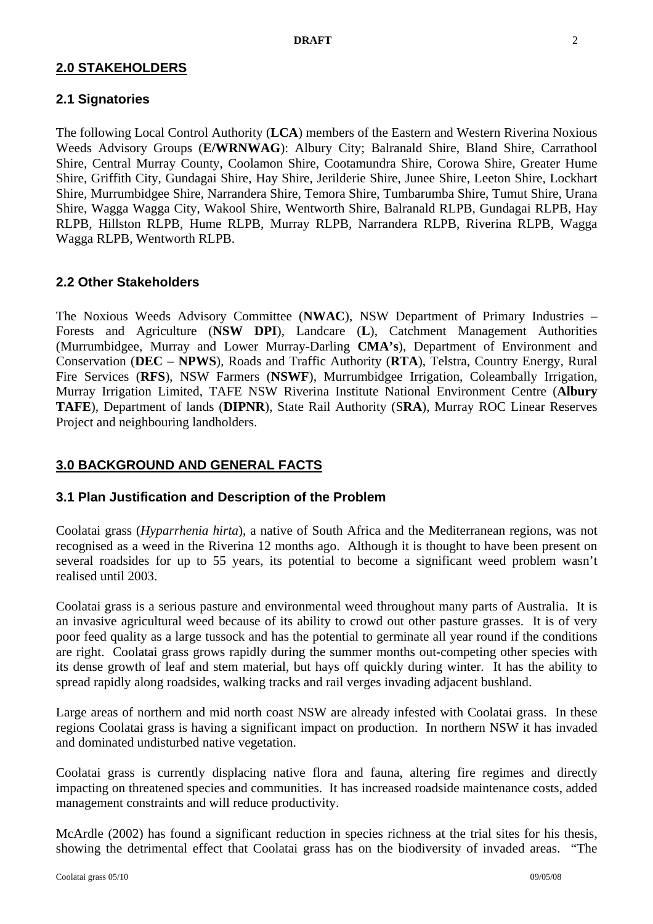### **2.0 STAKEHOLDERS**

## **2.1 Signatories**

The following Local Control Authority (**LCA**) members of the Eastern and Western Riverina Noxious Weeds Advisory Groups (**E/WRNWAG**): Albury City; Balranald Shire, Bland Shire, Carrathool Shire, Central Murray County, Coolamon Shire, Cootamundra Shire, Corowa Shire, Greater Hume Shire, Griffith City, Gundagai Shire, Hay Shire, Jerilderie Shire, Junee Shire, Leeton Shire, Lockhart Shire, Murrumbidgee Shire, Narrandera Shire, Temora Shire, Tumbarumba Shire, Tumut Shire, Urana Shire, Wagga Wagga City, Wakool Shire, Wentworth Shire, Balranald RLPB, Gundagai RLPB, Hay RLPB, Hillston RLPB, Hume RLPB, Murray RLPB, Narrandera RLPB, Riverina RLPB, Wagga Wagga RLPB, Wentworth RLPB.

#### **2.2 Other Stakeholders**

The Noxious Weeds Advisory Committee (**NWAC**), NSW Department of Primary Industries – Forests and Agriculture (**NSW DPI**), Landcare (**L**), Catchment Management Authorities (Murrumbidgee, Murray and Lower Murray-Darling **CMA's**), Department of Environment and Conservation (**DEC** – **NPWS**), Roads and Traffic Authority (**RTA**), Telstra, Country Energy, Rural Fire Services (**RFS**), NSW Farmers (**NSWF**), Murrumbidgee Irrigation, Coleambally Irrigation, Murray Irrigation Limited, TAFE NSW Riverina Institute National Environment Centre (**Albury TAFE**), Department of lands (**DIPNR**), State Rail Authority (S**RA**), Murray ROC Linear Reserves Project and neighbouring landholders.

## **3.0 BACKGROUND AND GENERAL FACTS**

#### **3.1 Plan Justification and Description of the Problem**

Coolatai grass (*Hyparrhenia hirta*), a native of South Africa and the Mediterranean regions, was not recognised as a weed in the Riverina 12 months ago. Although it is thought to have been present on several roadsides for up to 55 years, its potential to become a significant weed problem wasn't realised until 2003.

Coolatai grass is a serious pasture and environmental weed throughout many parts of Australia. It is an invasive agricultural weed because of its ability to crowd out other pasture grasses. It is of very poor feed quality as a large tussock and has the potential to germinate all year round if the conditions are right. Coolatai grass grows rapidly during the summer months out-competing other species with its dense growth of leaf and stem material, but hays off quickly during winter. It has the ability to spread rapidly along roadsides, walking tracks and rail verges invading adjacent bushland.

Large areas of northern and mid north coast NSW are already infested with Coolatai grass. In these regions Coolatai grass is having a significant impact on production. In northern NSW it has invaded and dominated undisturbed native vegetation.

Coolatai grass is currently displacing native flora and fauna, altering fire regimes and directly impacting on threatened species and communities. It has increased roadside maintenance costs, added management constraints and will reduce productivity.

McArdle (2002) has found a significant reduction in species richness at the trial sites for his thesis, showing the detrimental effect that Coolatai grass has on the biodiversity of invaded areas. "The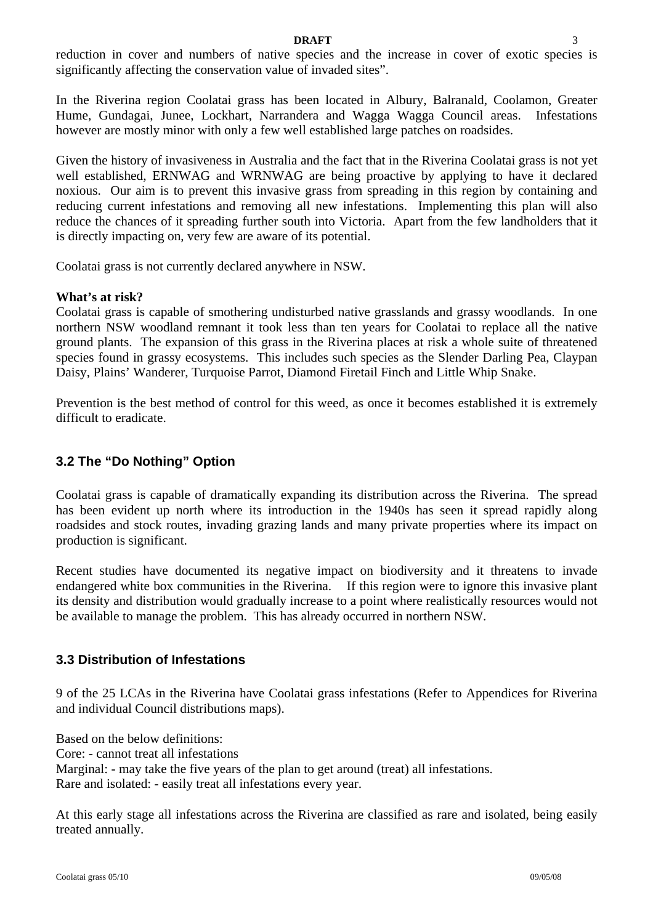#### **DRAFT** 3

reduction in cover and numbers of native species and the increase in cover of exotic species is significantly affecting the conservation value of invaded sites".

In the Riverina region Coolatai grass has been located in Albury, Balranald, Coolamon, Greater Hume, Gundagai, Junee, Lockhart, Narrandera and Wagga Wagga Council areas. Infestations however are mostly minor with only a few well established large patches on roadsides.

Given the history of invasiveness in Australia and the fact that in the Riverina Coolatai grass is not yet well established, ERNWAG and WRNWAG are being proactive by applying to have it declared noxious. Our aim is to prevent this invasive grass from spreading in this region by containing and reducing current infestations and removing all new infestations. Implementing this plan will also reduce the chances of it spreading further south into Victoria. Apart from the few landholders that it is directly impacting on, very few are aware of its potential.

Coolatai grass is not currently declared anywhere in NSW.

#### **What's at risk?**

Coolatai grass is capable of smothering undisturbed native grasslands and grassy woodlands. In one northern NSW woodland remnant it took less than ten years for Coolatai to replace all the native ground plants. The expansion of this grass in the Riverina places at risk a whole suite of threatened species found in grassy ecosystems. This includes such species as the Slender Darling Pea, Claypan Daisy, Plains' Wanderer, Turquoise Parrot, Diamond Firetail Finch and Little Whip Snake.

Prevention is the best method of control for this weed, as once it becomes established it is extremely difficult to eradicate.

## **3.2 The "Do Nothing" Option**

Coolatai grass is capable of dramatically expanding its distribution across the Riverina. The spread has been evident up north where its introduction in the 1940s has seen it spread rapidly along roadsides and stock routes, invading grazing lands and many private properties where its impact on production is significant.

Recent studies have documented its negative impact on biodiversity and it threatens to invade endangered white box communities in the Riverina. If this region were to ignore this invasive plant its density and distribution would gradually increase to a point where realistically resources would not be available to manage the problem. This has already occurred in northern NSW.

## **3.3 Distribution of Infestations**

9 of the 25 LCAs in the Riverina have Coolatai grass infestations (Refer to Appendices for Riverina and individual Council distributions maps).

Based on the below definitions:

Core: - cannot treat all infestations

Marginal: - may take the five years of the plan to get around (treat) all infestations. Rare and isolated: - easily treat all infestations every year.

At this early stage all infestations across the Riverina are classified as rare and isolated, being easily treated annually.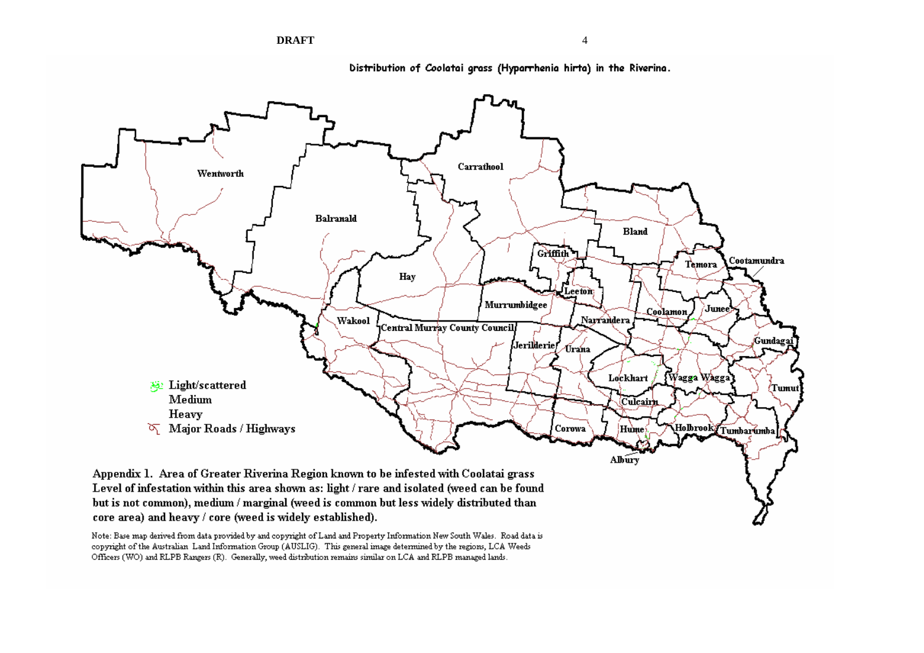



Distribution of Coolatai grass (Hyparrhenia hirta) in the Riverina.

core area) and heavy / core (weed is widely established).

Note: Base map derived from data provided by and copyright of Land and Property Information New South Wales. Road data is copyright of the Australian Land Information Group (AUSLIG). This general image determined by the regions, LCA Weeds Officers (WO) and RLPB Rangers (R). Generally, weed distribution remains similar on LCA and RLPB managed lands.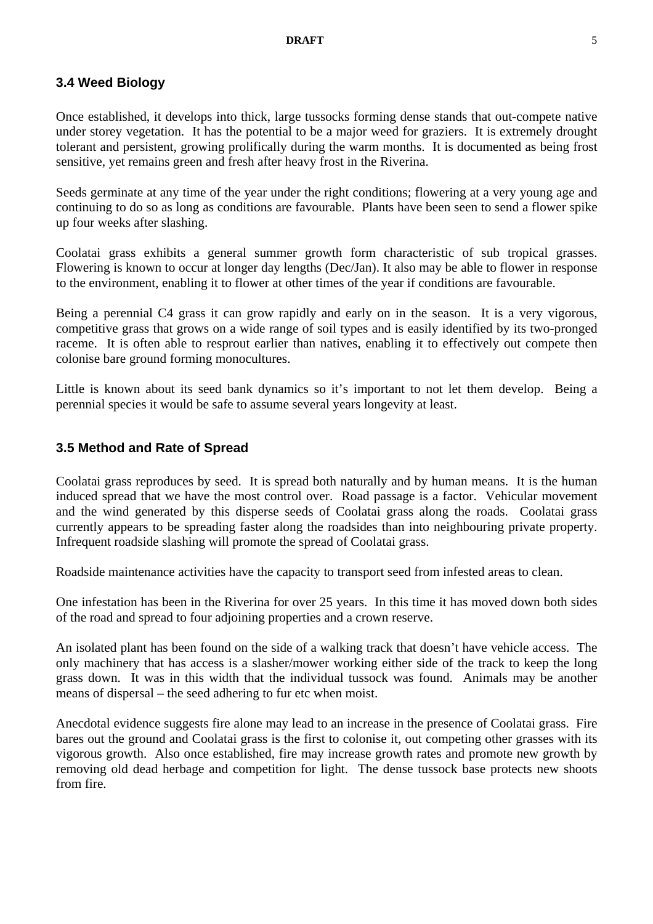#### **3.4 Weed Biology**

Once established, it develops into thick, large tussocks forming dense stands that out-compete native under storey vegetation. It has the potential to be a major weed for graziers. It is extremely drought tolerant and persistent, growing prolifically during the warm months. It is documented as being frost sensitive, yet remains green and fresh after heavy frost in the Riverina.

Seeds germinate at any time of the year under the right conditions; flowering at a very young age and continuing to do so as long as conditions are favourable. Plants have been seen to send a flower spike up four weeks after slashing.

Coolatai grass exhibits a general summer growth form characteristic of sub tropical grasses. Flowering is known to occur at longer day lengths (Dec/Jan). It also may be able to flower in response to the environment, enabling it to flower at other times of the year if conditions are favourable.

Being a perennial C4 grass it can grow rapidly and early on in the season. It is a very vigorous, competitive grass that grows on a wide range of soil types and is easily identified by its two-pronged raceme. It is often able to resprout earlier than natives, enabling it to effectively out compete then colonise bare ground forming monocultures.

Little is known about its seed bank dynamics so it's important to not let them develop. Being a perennial species it would be safe to assume several years longevity at least.

#### **3.5 Method and Rate of Spread**

Coolatai grass reproduces by seed. It is spread both naturally and by human means. It is the human induced spread that we have the most control over. Road passage is a factor. Vehicular movement and the wind generated by this disperse seeds of Coolatai grass along the roads. Coolatai grass currently appears to be spreading faster along the roadsides than into neighbouring private property. Infrequent roadside slashing will promote the spread of Coolatai grass.

Roadside maintenance activities have the capacity to transport seed from infested areas to clean.

One infestation has been in the Riverina for over 25 years. In this time it has moved down both sides of the road and spread to four adjoining properties and a crown reserve.

An isolated plant has been found on the side of a walking track that doesn't have vehicle access. The only machinery that has access is a slasher/mower working either side of the track to keep the long grass down. It was in this width that the individual tussock was found. Animals may be another means of dispersal – the seed adhering to fur etc when moist.

Anecdotal evidence suggests fire alone may lead to an increase in the presence of Coolatai grass. Fire bares out the ground and Coolatai grass is the first to colonise it, out competing other grasses with its vigorous growth. Also once established, fire may increase growth rates and promote new growth by removing old dead herbage and competition for light. The dense tussock base protects new shoots from fire.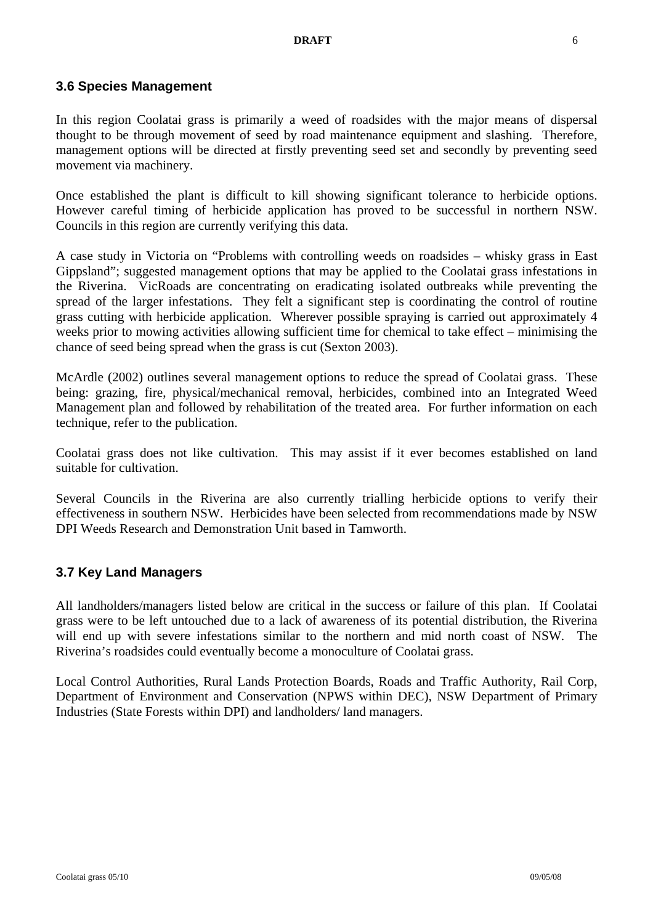#### **3.6 Species Management**

In this region Coolatai grass is primarily a weed of roadsides with the major means of dispersal thought to be through movement of seed by road maintenance equipment and slashing. Therefore, management options will be directed at firstly preventing seed set and secondly by preventing seed movement via machinery.

Once established the plant is difficult to kill showing significant tolerance to herbicide options. However careful timing of herbicide application has proved to be successful in northern NSW. Councils in this region are currently verifying this data.

A case study in Victoria on "Problems with controlling weeds on roadsides – whisky grass in East Gippsland"; suggested management options that may be applied to the Coolatai grass infestations in the Riverina. VicRoads are concentrating on eradicating isolated outbreaks while preventing the spread of the larger infestations. They felt a significant step is coordinating the control of routine grass cutting with herbicide application. Wherever possible spraying is carried out approximately 4 weeks prior to mowing activities allowing sufficient time for chemical to take effect – minimising the chance of seed being spread when the grass is cut (Sexton 2003).

McArdle (2002) outlines several management options to reduce the spread of Coolatai grass. These being: grazing, fire, physical/mechanical removal, herbicides, combined into an Integrated Weed Management plan and followed by rehabilitation of the treated area. For further information on each technique, refer to the publication.

Coolatai grass does not like cultivation. This may assist if it ever becomes established on land suitable for cultivation.

Several Councils in the Riverina are also currently trialling herbicide options to verify their effectiveness in southern NSW. Herbicides have been selected from recommendations made by NSW DPI Weeds Research and Demonstration Unit based in Tamworth.

#### **3.7 Key Land Managers**

All landholders/managers listed below are critical in the success or failure of this plan. If Coolatai grass were to be left untouched due to a lack of awareness of its potential distribution, the Riverina will end up with severe infestations similar to the northern and mid north coast of NSW. The Riverina's roadsides could eventually become a monoculture of Coolatai grass.

Local Control Authorities, Rural Lands Protection Boards, Roads and Traffic Authority, Rail Corp, Department of Environment and Conservation (NPWS within DEC), NSW Department of Primary Industries (State Forests within DPI) and landholders/ land managers.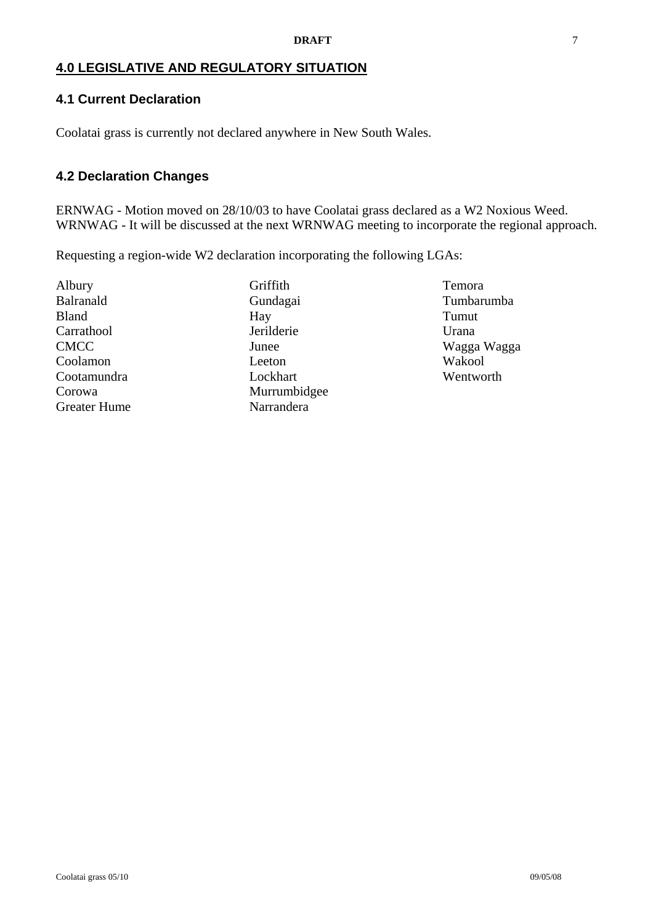## **4.0 LEGISLATIVE AND REGULATORY SITUATION**

## **4.1 Current Declaration**

Coolatai grass is currently not declared anywhere in New South Wales.

## **4.2 Declaration Changes**

ERNWAG - Motion moved on 28/10/03 to have Coolatai grass declared as a W2 Noxious Weed. WRNWAG - It will be discussed at the next WRNWAG meeting to incorporate the regional approach.

Requesting a region-wide W2 declaration incorporating the following LGAs:

Albury Balranald Bland Carrathool CMCC Coolamon Cootamundra Corowa Greater Hume **Griffith** Gundagai Hay Jerilderie Junee Leeton Lockhart Murrumbidgee Narrandera

Temora Tumbarumba Tumut Urana Wagga Wagga Wakool Wentworth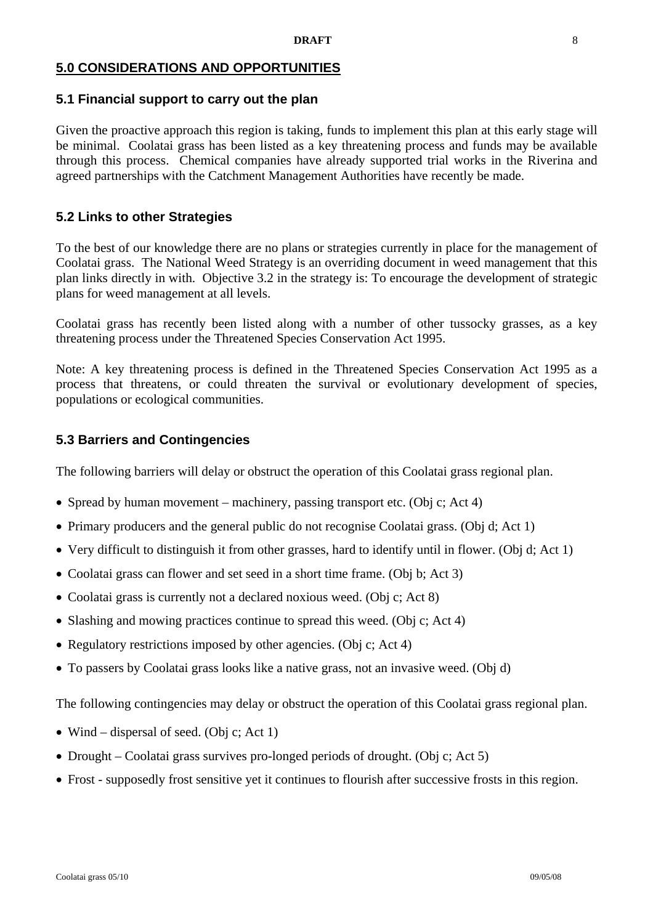## **5.0 CONSIDERATIONS AND OPPORTUNITIES**

#### **5.1 Financial support to carry out the plan**

Given the proactive approach this region is taking, funds to implement this plan at this early stage will be minimal. Coolatai grass has been listed as a key threatening process and funds may be available through this process. Chemical companies have already supported trial works in the Riverina and agreed partnerships with the Catchment Management Authorities have recently be made.

#### **5.2 Links to other Strategies**

To the best of our knowledge there are no plans or strategies currently in place for the management of Coolatai grass. The National Weed Strategy is an overriding document in weed management that this plan links directly in with. Objective 3.2 in the strategy is: To encourage the development of strategic plans for weed management at all levels.

Coolatai grass has recently been listed along with a number of other tussocky grasses, as a key threatening process under the Threatened Species Conservation Act 1995.

Note: A key threatening process is defined in the Threatened Species Conservation Act 1995 as a process that threatens, or could threaten the survival or evolutionary development of species, populations or ecological communities.

#### **5.3 Barriers and Contingencies**

The following barriers will delay or obstruct the operation of this Coolatai grass regional plan.

- Spread by human movement machinery, passing transport etc. (Obj c; Act 4)
- Primary producers and the general public do not recognise Coolatai grass. (Obj d; Act 1)
- Very difficult to distinguish it from other grasses, hard to identify until in flower. (Obj d; Act 1)
- Coolatai grass can flower and set seed in a short time frame. (Obj b; Act 3)
- Coolatai grass is currently not a declared noxious weed. (Obj c; Act 8)
- Slashing and mowing practices continue to spread this weed. (Obj c; Act 4)
- Regulatory restrictions imposed by other agencies. (Obj c; Act 4)
- To passers by Coolatai grass looks like a native grass, not an invasive weed. (Obj d)

The following contingencies may delay or obstruct the operation of this Coolatai grass regional plan.

- Wind dispersal of seed. (Obj c; Act 1)
- Drought Coolatai grass survives pro-longed periods of drought. (Obj c; Act 5)
- Frost supposedly frost sensitive yet it continues to flourish after successive frosts in this region.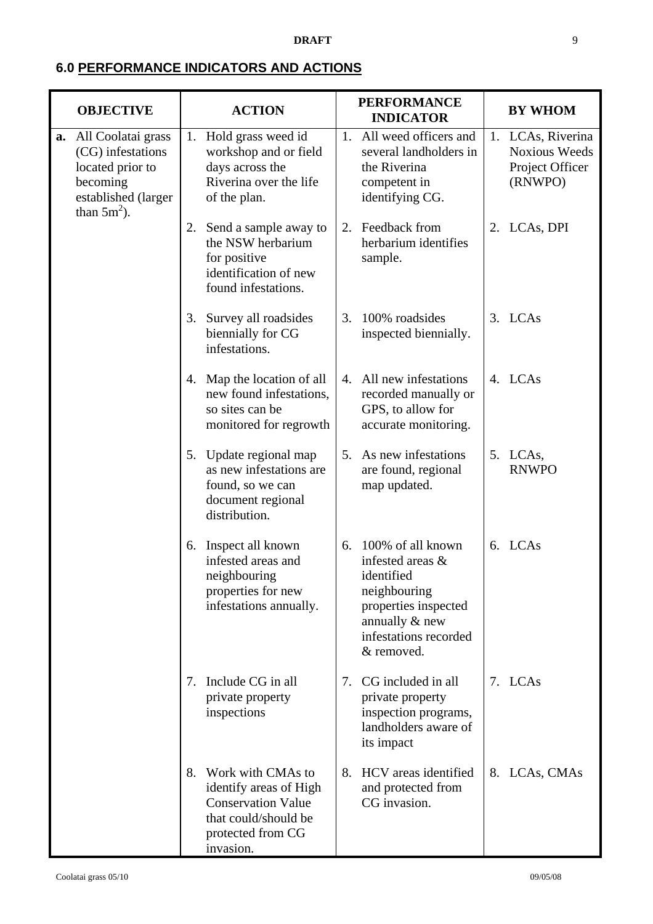#### **DRAFT** 9

# **6.0 PERFORMANCE INDICATORS AND ACTIONS**

|    | <b>OBJECTIVE</b>                                                                                                 | <b>ACTION</b> |                                                                                                                                    |                | <b>PERFORMANCE</b><br><b>INDICATOR</b>                                                                                                               |    | <b>BY WHOM</b>                                                          |  |
|----|------------------------------------------------------------------------------------------------------------------|---------------|------------------------------------------------------------------------------------------------------------------------------------|----------------|------------------------------------------------------------------------------------------------------------------------------------------------------|----|-------------------------------------------------------------------------|--|
| a. | All Coolatai grass<br>(CG) infestations<br>located prior to<br>becoming<br>established (larger<br>than $5m^2$ ). |               | 1. Hold grass weed id<br>workshop and or field<br>days across the<br>Riverina over the life<br>of the plan.                        | 1.             | All weed officers and<br>several landholders in<br>the Riverina<br>competent in<br>identifying CG.                                                   |    | 1. LCAs, Riverina<br><b>Noxious Weeds</b><br>Project Officer<br>(RNWPO) |  |
|    |                                                                                                                  |               | 2. Send a sample away to<br>the NSW herbarium<br>for positive<br>identification of new<br>found infestations.                      | 2.             | Feedback from<br>herbarium identifies<br>sample.                                                                                                     | 2. | LCAs, DPI                                                               |  |
|    |                                                                                                                  | 3.            | Survey all roadsides<br>biennially for CG<br>infestations.                                                                         | 3.             | 100% roadsides<br>inspected biennially.                                                                                                              |    | 3. LCAs                                                                 |  |
|    |                                                                                                                  |               | 4. Map the location of all<br>new found infestations,<br>so sites can be<br>monitored for regrowth                                 | $\mathbf{4}$ . | All new infestations<br>recorded manually or<br>GPS, to allow for<br>accurate monitoring.                                                            |    | 4. LCAs                                                                 |  |
|    |                                                                                                                  |               | 5. Update regional map<br>as new infestations are<br>found, so we can<br>document regional<br>distribution.                        | $5_{-}$        | As new infestations<br>are found, regional<br>map updated.                                                                                           |    | 5. LCAs,<br><b>RNWPO</b>                                                |  |
|    |                                                                                                                  |               | 6. Inspect all known<br>infested areas and<br>neighbouring<br>properties for new<br>infestations annually.                         | 6.             | 100% of all known<br>infested areas &<br>identified<br>neighbouring<br>properties inspected<br>annually & new<br>infestations recorded<br>& removed. |    | 6. LCAs                                                                 |  |
|    |                                                                                                                  | 7.            | Include CG in all<br>private property<br>inspections                                                                               |                | 7. CG included in all<br>private property<br>inspection programs,<br>landholders aware of<br>its impact                                              |    | 7. LCAs                                                                 |  |
|    |                                                                                                                  | 8.            | Work with CMAs to<br>identify areas of High<br><b>Conservation Value</b><br>that could/should be<br>protected from CG<br>invasion. | 8.             | HCV areas identified<br>and protected from<br>CG invasion.                                                                                           |    | 8. LCAs, CMAs                                                           |  |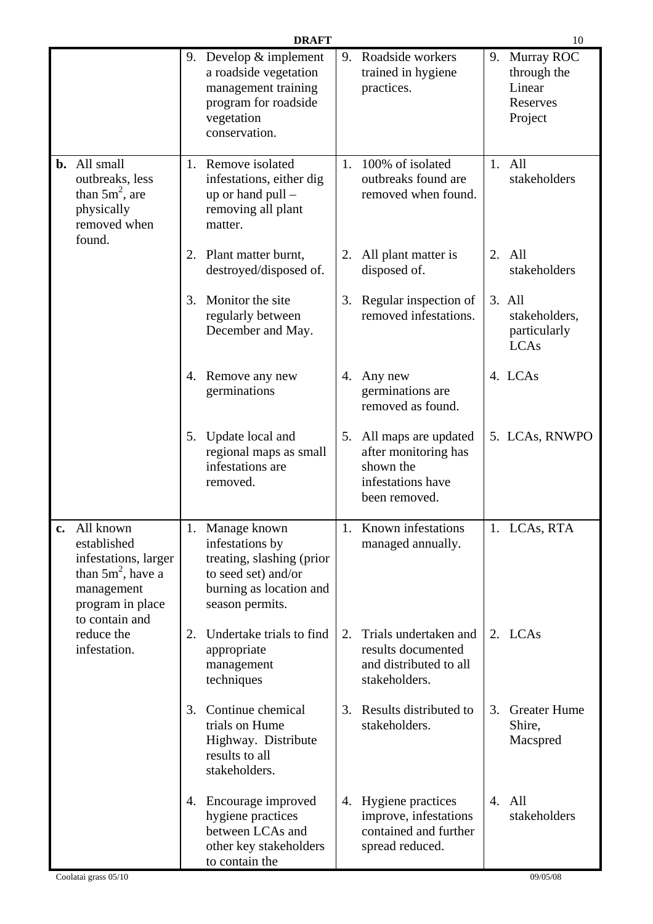|                                                                                                                              |    | <b>DRAFT</b>                                                                                                                         |    |                                                                                                    |                | 10                                                         |
|------------------------------------------------------------------------------------------------------------------------------|----|--------------------------------------------------------------------------------------------------------------------------------------|----|----------------------------------------------------------------------------------------------------|----------------|------------------------------------------------------------|
|                                                                                                                              |    | 9. Develop $&$ implement<br>a roadside vegetation<br>management training<br>program for roadside<br>vegetation<br>conservation.      | 9. | Roadside workers<br>trained in hygiene<br>practices.                                               | 9.             | Murray ROC<br>through the<br>Linear<br>Reserves<br>Project |
| <b>b.</b> All small<br>outbreaks, less<br>than $5m^2$ , are<br>physically<br>removed when<br>found.                          |    | 1. Remove isolated<br>infestations, either dig<br>up or hand $pull$ –<br>removing all plant<br>matter.                               |    | 1. 100% of isolated<br>outbreaks found are<br>removed when found.                                  | 1.             | All<br>stakeholders                                        |
|                                                                                                                              |    | 2. Plant matter burnt,<br>destroyed/disposed of.                                                                                     | 2. | All plant matter is<br>disposed of.                                                                | 2.             | All<br>stakeholders                                        |
|                                                                                                                              | 3. | Monitor the site<br>regularly between<br>December and May.                                                                           |    | 3. Regular inspection of<br>removed infestations.                                                  |                | 3. All<br>stakeholders,<br>particularly<br><b>LCAs</b>     |
|                                                                                                                              |    | 4. Remove any new<br>germinations                                                                                                    |    | 4. Any new<br>germinations are<br>removed as found.                                                |                | 4. LCAs                                                    |
|                                                                                                                              | 5. | Update local and<br>regional maps as small<br>infestations are<br>removed.                                                           |    | 5. All maps are updated<br>after monitoring has<br>shown the<br>infestations have<br>been removed. |                | 5. LCAs, RNWPO                                             |
| All known<br>established<br>infestations, larger<br>than $5m^2$ , have a<br>management<br>program in place<br>to contain and |    | 1. Manage known<br>infestations by<br>treating, slashing (prior<br>to seed set) and/or<br>burning as location and<br>season permits. |    | 1. Known infestations<br>managed annually.                                                         |                | 1. LCAs, RTA                                               |
| reduce the<br>infestation.                                                                                                   |    | 2. Undertake trials to find<br>appropriate<br>management<br>techniques                                                               | 2. | Trials undertaken and<br>results documented<br>and distributed to all<br>stakeholders.             |                | 2. LCAs                                                    |
|                                                                                                                              | 3. | Continue chemical<br>trials on Hume<br>Highway. Distribute<br>results to all<br>stakeholders.                                        | 3. | Results distributed to<br>stakeholders.                                                            | 3.             | <b>Greater Hume</b><br>Shire,<br>Macspred                  |
|                                                                                                                              |    | 4. Encourage improved<br>hygiene practices<br>between LCAs and<br>other key stakeholders<br>to contain the                           |    | 4. Hygiene practices<br>improve, infestations<br>contained and further<br>spread reduced.          | $\mathbf{4}$ . | All<br>stakeholders                                        |
| Coolatai grass 05/10                                                                                                         |    |                                                                                                                                      |    |                                                                                                    |                | 09/05/08                                                   |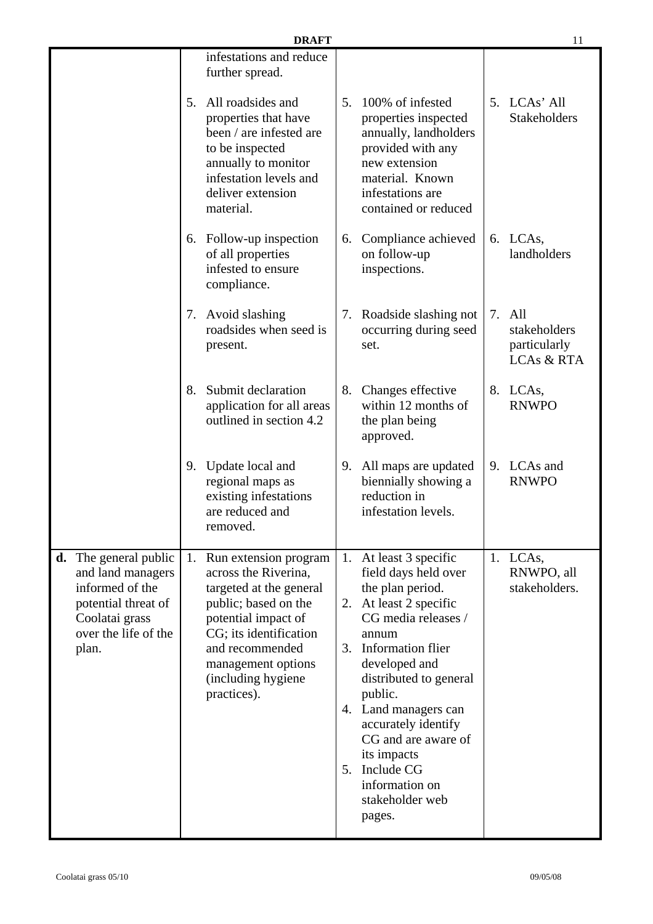| <b>DRAFT</b>                                                                                                                               |                                                                                                                                                                                                                                    |                                                                                                                                                                                                                                                                                                                                                                    |                                                                    |  |  |
|--------------------------------------------------------------------------------------------------------------------------------------------|------------------------------------------------------------------------------------------------------------------------------------------------------------------------------------------------------------------------------------|--------------------------------------------------------------------------------------------------------------------------------------------------------------------------------------------------------------------------------------------------------------------------------------------------------------------------------------------------------------------|--------------------------------------------------------------------|--|--|
|                                                                                                                                            | infestations and reduce<br>further spread.                                                                                                                                                                                         |                                                                                                                                                                                                                                                                                                                                                                    |                                                                    |  |  |
|                                                                                                                                            | All roadsides and<br>5.<br>properties that have<br>been / are infested are<br>to be inspected<br>annually to monitor<br>infestation levels and<br>deliver extension<br>material.                                                   | 5.<br>100% of infested<br>properties inspected<br>annually, landholders<br>provided with any<br>new extension<br>material. Known<br>infestations are<br>contained or reduced                                                                                                                                                                                       | LCAs' All<br>5.<br><b>Stakeholders</b>                             |  |  |
|                                                                                                                                            | 6. Follow-up inspection<br>of all properties<br>infested to ensure<br>compliance.                                                                                                                                                  | Compliance achieved<br>6.<br>on follow-up<br>inspections.                                                                                                                                                                                                                                                                                                          | 6. LCAs,<br>landholders                                            |  |  |
|                                                                                                                                            | 7. Avoid slashing<br>roadsides when seed is<br>present.                                                                                                                                                                            | Roadside slashing not<br>7.<br>occurring during seed<br>set.                                                                                                                                                                                                                                                                                                       | All<br>7.<br>stakeholders<br>particularly<br><b>LCAs &amp; RTA</b> |  |  |
|                                                                                                                                            | Submit declaration<br>8.<br>application for all areas<br>outlined in section 4.2                                                                                                                                                   | Changes effective<br>8.<br>within 12 months of<br>the plan being<br>approved.                                                                                                                                                                                                                                                                                      | 8. LCAs,<br><b>RNWPO</b>                                           |  |  |
|                                                                                                                                            | 9. Update local and<br>regional maps as<br>existing infestations<br>are reduced and<br>removed.                                                                                                                                    | All maps are updated<br>9.<br>biennially showing a<br>reduction in<br>infestation levels.                                                                                                                                                                                                                                                                          | LCAs and<br>9.<br><b>RNWPO</b>                                     |  |  |
| The general public<br>d.<br>and land managers<br>informed of the<br>potential threat of<br>Coolatai grass<br>over the life of the<br>plan. | 1. Run extension program<br>across the Riverina,<br>targeted at the general<br>public; based on the<br>potential impact of<br>CG; its identification<br>and recommended<br>management options<br>(including hygiene<br>practices). | 1. At least 3 specific<br>field days held over<br>the plan period.<br>2. At least 2 specific<br>CG media releases /<br>annum<br>3. Information flier<br>developed and<br>distributed to general<br>public.<br>4. Land managers can<br>accurately identify<br>CG and are aware of<br>its impacts<br>Include CG<br>5.<br>information on<br>stakeholder web<br>pages. | 1. LCAs,<br>RNWPO, all<br>stakeholders.                            |  |  |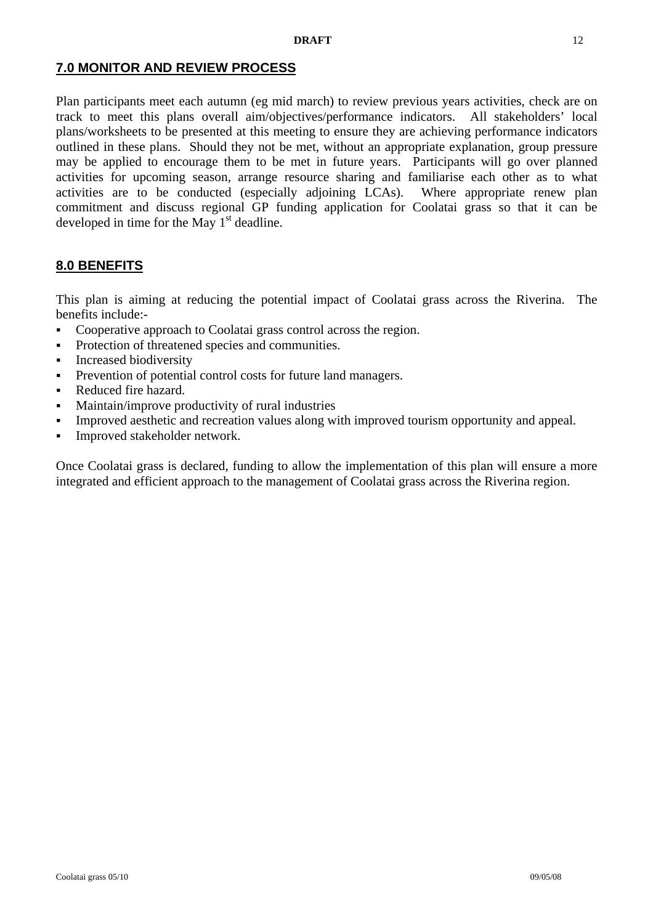## **7.0 MONITOR AND REVIEW PROCESS**

Plan participants meet each autumn (eg mid march) to review previous years activities, check are on track to meet this plans overall aim/objectives/performance indicators. All stakeholders' local plans/worksheets to be presented at this meeting to ensure they are achieving performance indicators outlined in these plans. Should they not be met, without an appropriate explanation, group pressure may be applied to encourage them to be met in future years. Participants will go over planned activities for upcoming season, arrange resource sharing and familiarise each other as to what activities are to be conducted (especially adjoining LCAs). Where appropriate renew plan commitment and discuss regional GP funding application for Coolatai grass so that it can be developed in time for the May  $1<sup>st</sup>$  deadline.

## **8.0 BENEFITS**

This plan is aiming at reducing the potential impact of Coolatai grass across the Riverina. The benefits include:-

- Cooperative approach to Coolatai grass control across the region.
- Protection of threatened species and communities.
- **Increased biodiversity**
- Prevention of potential control costs for future land managers.
- Reduced fire hazard.
- Maintain/improve productivity of rural industries
- Improved aesthetic and recreation values along with improved tourism opportunity and appeal.
- **Improved stakeholder network.**

Once Coolatai grass is declared, funding to allow the implementation of this plan will ensure a more integrated and efficient approach to the management of Coolatai grass across the Riverina region.